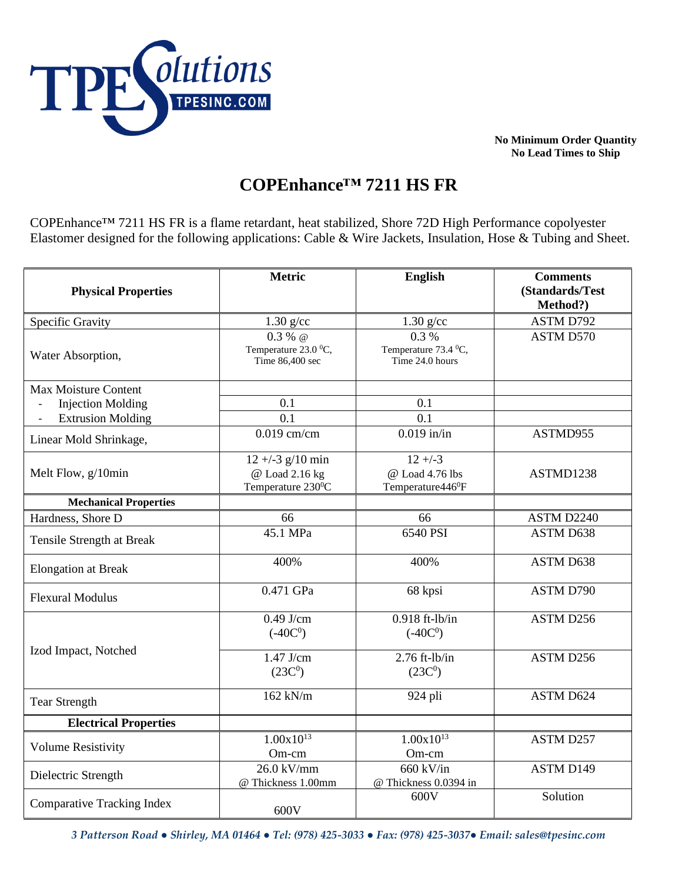

**No Minimum Order Quantity No Lead Times to Ship**

## **COPEnhance™ 7211 HS FR**

COPEnhance™ 7211 HS FR is a flame retardant, heat stabilized, Shore 72D High Performance copolyester Elastomer designed for the following applications: Cable & Wire Jackets, Insulation, Hose & Tubing and Sheet.

| <b>Physical Properties</b>                           | <b>Metric</b>                                                | English                                                       | <b>Comments</b><br>(Standards/Test<br>Method?) |
|------------------------------------------------------|--------------------------------------------------------------|---------------------------------------------------------------|------------------------------------------------|
| Specific Gravity                                     | $1.30$ g/cc                                                  | $1.30$ g/cc                                                   | ASTM D792                                      |
| Water Absorption,                                    | $0.3 %$ @<br>Temperature 23.0 °C,<br>Time 86,400 sec         | 0.3%<br>Temperature 73.4 °C,<br>Time 24.0 hours               | <b>ASTM D570</b>                               |
| <b>Max Moisture Content</b>                          |                                                              |                                                               |                                                |
| <b>Injection Molding</b>                             | 0.1                                                          | 0.1                                                           |                                                |
| <b>Extrusion Molding</b><br>$\overline{\phantom{a}}$ | 0.1                                                          | $\overline{0.1}$                                              |                                                |
| Linear Mold Shrinkage,                               | $0.019$ cm/cm                                                | $0.019$ in/in                                                 | ASTMD955                                       |
| Melt Flow, g/10min                                   | $12 + -3$ g/10 min<br>@ Load 2.16 kg<br>Temperature $230^0C$ | $12 + -3$<br>@ Load 4.76 lbs<br>Temperature446 <sup>0</sup> F | ASTMD1238                                      |
| <b>Mechanical Properties</b>                         |                                                              |                                                               |                                                |
| Hardness, Shore D                                    | 66                                                           | 66                                                            | ASTM D2240                                     |
| Tensile Strength at Break                            | 45.1 MPa                                                     | 6540 PSI                                                      | <b>ASTM D638</b>                               |
| <b>Elongation at Break</b>                           | 400%                                                         | 400%                                                          | ASTM D638                                      |
| <b>Flexural Modulus</b>                              | 0.471 GPa                                                    | 68 kpsi                                                       | ASTM D790                                      |
| Izod Impact, Notched                                 | $0.49$ J/cm<br>$(-40C0)$                                     | $0.918$ ft-lb/in<br>$(-40C0)$                                 | ASTM D256                                      |
|                                                      | $1.47$ J/cm<br>(23C <sup>0</sup> )                           | $2.76$ ft-lb/in<br>(23C <sup>0</sup> )                        | ASTM D256                                      |
| <b>Tear Strength</b>                                 | $162$ kN/m                                                   | 924 pli                                                       | ASTM D624                                      |
| <b>Electrical Properties</b>                         |                                                              |                                                               |                                                |
| <b>Volume Resistivity</b>                            | $1.00x10^{13}$<br>Om-cm                                      | $1.00x10^{13}$<br>Om-cm                                       | ASTM D257                                      |
| Dielectric Strength                                  | 26.0 kV/mm<br>@ Thickness 1.00mm                             | 660 kV/in<br>@ Thickness 0.0394 in                            | ASTM D149                                      |
| <b>Comparative Tracking Index</b>                    | 600V                                                         | 600V                                                          | Solution                                       |

*3 Patterson Road ● Shirley, MA 01464 ● Tel: (978) 425-3033 ● Fax: (978) 425-3037● Email: sales@tpesinc.com*